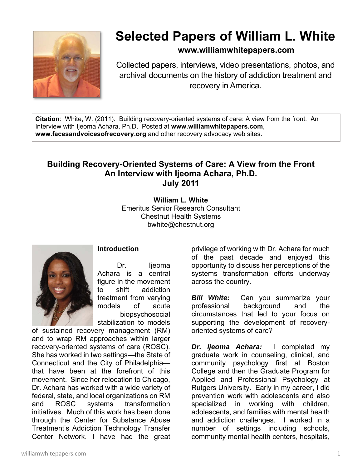

## **Selected Papers of William L. White**

**www.williamwhitepapers.com**

Collected papers, interviews, video presentations, photos, and archival documents on the history of addiction treatment and recovery in America.

**Citation**: White, W. (2011). Building recovery-oriented systems of care: A view from the front. An Interview with Ijeoma Achara, Ph.D. Posted at **www.williamwhitepapers.com**, **www.facesandvoicesofrecovery.org** and other recovery advocacy web sites.

## **Building Recovery-Oriented Systems of Care: A View from the Front An Interview with Ijeoma Achara, Ph.D. July 2011**

**William L. White**  Emeritus Senior Research Consultant Chestnut Health Systems bwhite@chestnut.org



## **Introduction**

 Dr. Ijeoma Achara is a central figure in the movement to shift addiction treatment from varying models of acute biopsychosocial stabilization to models

of sustained recovery management (RM) and to wrap RM approaches within larger recovery-oriented systems of care (ROSC). She has worked in two settings—the State of Connecticut and the City of Philadelphia that have been at the forefront of this movement. Since her relocation to Chicago, Dr. Achara has worked with a wide variety of federal, state, and local organizations on RM and ROSC systems transformation initiatives. Much of this work has been done through the Center for Substance Abuse Treatment's Addiction Technology Transfer Center Network. I have had the great

privilege of working with Dr. Achara for much of the past decade and enjoyed this opportunity to discuss her perceptions of the systems transformation efforts underway across the country.

*Bill White:* Can you summarize your professional background and the circumstances that led to your focus on supporting the development of recoveryoriented systems of care?

*Dr. Ijeoma Achara:* I completed my graduate work in counseling, clinical, and community psychology first at Boston College and then the Graduate Program for Applied and Professional Psychology at Rutgers University. Early in my career, I did prevention work with adolescents and also specialized in working with children, adolescents, and families with mental health and addiction challenges. I worked in a number of settings including schools, community mental health centers, hospitals,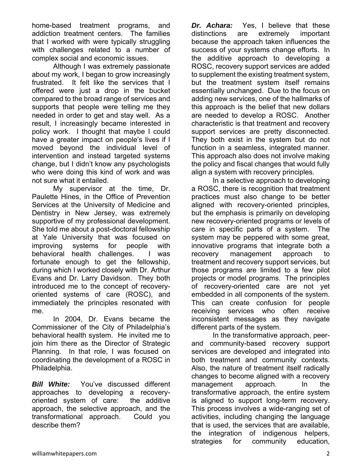home-based treatment programs, and addiction treatment centers. The families that I worked with were typically struggling with challenges related to a number of complex social and economic issues.

 Although I was extremely passionate about my work, I began to grow increasingly frustrated. It felt like the services that I offered were just a drop in the bucket compared to the broad range of services and supports that people were telling me they needed in order to get and stay well. As a result, I increasingly became interested in policy work. I thought that maybe I could have a greater impact on people's lives if I moved beyond the individual level of intervention and instead targeted systems change, but I didn't know any psychologists who were doing this kind of work and was not sure what it entailed.

 My supervisor at the time, Dr. Paulette Hines, in the Office of Prevention Services at the University of Medicine and Dentistry in New Jersey, was extremely supportive of my professional development. She told me about a post-doctoral fellowship at Yale University that was focused on improving systems for people with behavioral health challenges. I was fortunate enough to get the fellowship, during which I worked closely with Dr. Arthur Evans and Dr. Larry Davidson. They both introduced me to the concept of recoveryoriented systems of care (ROSC), and immediately the principles resonated with me.

 In 2004, Dr. Evans became the Commissioner of the City of Philadelphia's behavioral health system. He invited me to join him there as the Director of Strategic Planning. In that role, I was focused on coordinating the development of a ROSC in Philadelphia.

**Bill White:** You've discussed different approaches to developing a recoveryoriented system of care: the additive approach, the selective approach, and the transformational approach. Could you describe them?

*Dr. Achara:* Yes, I believe that these distinctions are extremely important because the approach taken influences the success of your systems change efforts. In the additive approach to developing a ROSC, recovery support services are added to supplement the existing treatment system, but the treatment system itself remains essentially unchanged. Due to the focus on adding new services, one of the hallmarks of this approach is the belief that new dollars are needed to develop a ROSC. Another characteristic is that treatment and recovery support services are pretty disconnected. They both exist in the system but do not function in a seamless, integrated manner. This approach also does not involve making the policy and fiscal changes that would fully align a system with recovery principles.

 In a selective approach to developing a ROSC, there is recognition that treatment practices must also change to be better aligned with recovery-oriented principles, but the emphasis is primarily on developing new recovery-oriented programs or levels of care in specific parts of a system. The system may be peppered with some great, innovative programs that integrate both a recovery management approach to treatment and recovery support services, but those programs are limited to a few pilot projects or model programs. The principles of recovery-oriented care are not yet embedded in all components of the system. This can create confusion for people receiving services who often receive inconsistent messages as they navigate different parts of the system.

 In the transformative approach, peerand community-based recovery support services are developed and integrated into both treatment and community contexts. Also, the nature of treatment itself radically changes to become aligned with a recovery management approach. In the transformative approach, the entire system is aligned to support long-term recovery. This process involves a wide-ranging set of activities, including changing the language that is used, the services that are available, the integration of indigenous helpers, strategies for community education,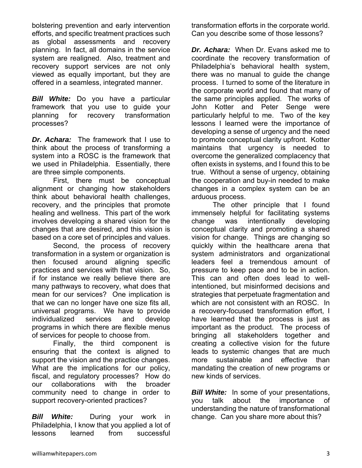bolstering prevention and early intervention efforts, and specific treatment practices such as global assessments and recovery planning. In fact, all domains in the service system are realigned. Also, treatment and recovery support services are not only viewed as equally important, but they are offered in a seamless, integrated manner.

*Bill White:* Do you have a particular framework that you use to guide your planning for recovery transformation processes?

*Dr. Achara:* The framework that I use to think about the process of transforming a system into a ROSC is the framework that we used in Philadelphia. Essentially, there are three simple components.

 First, there must be conceptual alignment or changing how stakeholders think about behavioral health challenges, recovery, and the principles that promote healing and wellness. This part of the work involves developing a shared vision for the changes that are desired, and this vision is based on a core set of principles and values.

 Second, the process of recovery transformation in a system or organization is then focused around aligning specific practices and services with that vision. So, if for instance we really believe there are many pathways to recovery, what does that mean for our services? One implication is that we can no longer have one size fits all, universal programs. We have to provide individualized services and develop programs in which there are flexible menus of services for people to choose from.

 Finally, the third component is ensuring that the context is aligned to support the vision and the practice changes. What are the implications for our policy, fiscal, and regulatory processes? How do our collaborations with the broader community need to change in order to support recovery-oriented practices?

*Bill White:* During your work in Philadelphia, I know that you applied a lot of lessons learned from successful

transformation efforts in the corporate world. Can you describe some of those lessons?

*Dr. Achara:* When Dr. Evans asked me to coordinate the recovery transformation of Philadelphia's behavioral health system, there was no manual to guide the change process. I turned to some of the literature in the corporate world and found that many of the same principles applied. The works of John Kotter and Peter Senge were particularly helpful to me. Two of the key lessons I learned were the importance of developing a sense of urgency and the need to promote conceptual clarity upfront. Kotter maintains that urgency is needed to overcome the generalized complacency that often exists in systems, and I found this to be true. Without a sense of urgency, obtaining the cooperation and buy-in needed to make changes in a complex system can be an arduous process.

 The other principle that I found immensely helpful for facilitating systems change was intentionally developing conceptual clarity and promoting a shared vision for change. Things are changing so quickly within the healthcare arena that system administrators and organizational leaders feel a tremendous amount of pressure to keep pace and to be in action. This can and often does lead to wellintentioned, but misinformed decisions and strategies that perpetuate fragmentation and which are not consistent with an ROSC. In a recovery-focused transformation effort, I have learned that the process is just as important as the product. The process of bringing all stakeholders together and creating a collective vision for the future leads to systemic changes that are much more sustainable and effective than mandating the creation of new programs or new kinds of services.

*Bill White:* In some of your presentations, you talk about the importance of understanding the nature of transformational change. Can you share more about this?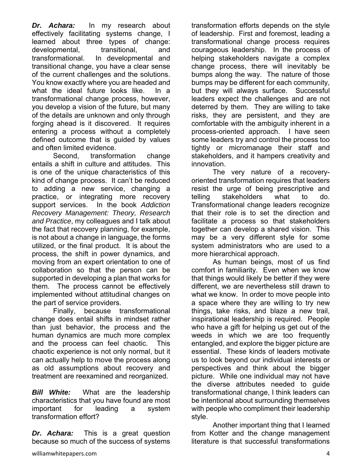*Dr. Achara:* In my research about effectively facilitating systems change, I learned about three types of change: developmental, transitional, and transformational. In developmental and transitional change, you have a clear sense of the current challenges and the solutions. You know exactly where you are headed and what the ideal future looks like. In a transformational change process, however, you develop a vision of the future, but many of the details are unknown and only through forging ahead is it discovered. It requires entering a process without a completely defined outcome that is guided by values and often limited evidence.

 Second, transformation change entails a shift in culture and attitudes. This is one of the unique characteristics of this kind of change process. It can't be reduced to adding a new service, changing a practice, or integrating more recovery support services. In the book *Addiction Recovery Management: Theory, Research and Practice*, my colleagues and I talk about the fact that recovery planning, for example, is not about a change in language, the forms utilized, or the final product. It is about the process, the shift in power dynamics, and moving from an expert orientation to one of collaboration so that the person can be supported in developing a plan that works for them. The process cannot be effectively implemented without attitudinal changes on the part of service providers.

 Finally, because transformational change does entail shifts in mindset rather than just behavior, the process and the human dynamics are much more complex and the process can feel chaotic. This chaotic experience is not only normal, but it can actually help to move the process along as old assumptions about recovery and treatment are reexamined and reorganized.

*Bill White:* What are the leadership characteristics that you have found are most important for leading a system transformation effort?

*Dr. Achara:* This is a great question because so much of the success of systems

williamwhitepapers.com 4

transformation efforts depends on the style of leadership. First and foremost, leading a transformational change process requires courageous leadership. In the process of helping stakeholders navigate a complex change process, there will inevitably be bumps along the way. The nature of those bumps may be different for each community, but they will always surface. Successful leaders expect the challenges and are not deterred by them. They are willing to take risks, they are persistent, and they are comfortable with the ambiguity inherent in a process-oriented approach. I have seen some leaders try and control the process too tightly or micromanage their staff and stakeholders, and it hampers creativity and innovation.

 The very nature of a recoveryoriented transformation requires that leaders resist the urge of being prescriptive and telling stakeholders what to do. Transformational change leaders recognize that their role is to set the direction and facilitate a process so that stakeholders together can develop a shared vision. This may be a very different style for some system administrators who are used to a more hierarchical approach.

As human beings, most of us find comfort in familiarity. Even when we know that things would likely be better if they were different, we are nevertheless still drawn to what we know. In order to move people into a space where they are willing to try new things, take risks, and blaze a new trail, inspirational leadership is required. People who have a gift for helping us get out of the weeds in which we are too frequently entangled, and explore the bigger picture are essential. These kinds of leaders motivate us to look beyond our individual interests or perspectives and think about the bigger picture. While one individual may not have the diverse attributes needed to guide transformational change, I think leaders can be intentional about surrounding themselves with people who compliment their leadership style.

 Another important thing that I learned from Kotter and the change management literature is that successful transformations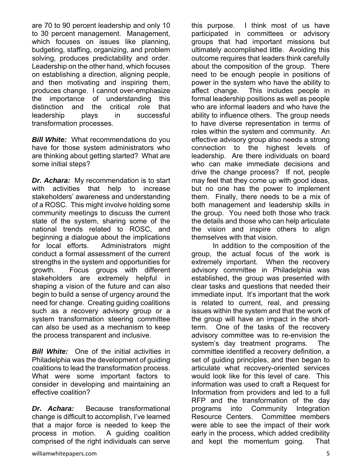are 70 to 90 percent leadership and only 10 to 30 percent management. Management, which focuses on issues like planning, budgeting, staffing, organizing, and problem solving, produces predictability and order. Leadership on the other hand, which focuses on establishing a direction, aligning people, and then motivating and inspiring them, produces change. I cannot over-emphasize the importance of understanding this distinction and the critical role that leadership plays in successful transformation processes.

**Bill White:** What recommendations do you have for those system administrators who are thinking about getting started? What are some initial steps?

*Dr. Achara:* My recommendation is to start with activities that help to increase stakeholders' awareness and understanding of a ROSC. This might involve holding some community meetings to discuss the current state of the system, sharing some of the national trends related to ROSC, and beginning a dialogue about the implications for local efforts. Administrators might conduct a formal assessment of the current strengths in the system and opportunities for growth. Focus groups with different stakeholders are extremely helpful in shaping a vision of the future and can also begin to build a sense of urgency around the need for change. Creating guiding coalitions such as a recovery advisory group or a system transformation steering committee can also be used as a mechanism to keep the process transparent and inclusive.

*Bill White:* One of the initial activities in Philadelphia was the development of guiding coalitions to lead the transformation process. What were some important factors to consider in developing and maintaining an effective coalition?

*Dr. Achara:* Because transformational change is difficult to accomplish, I've learned that a major force is needed to keep the process in motion. A guiding coalition comprised of the right individuals can serve

this purpose. I think most of us have participated in committees or advisory groups that had important missions but ultimately accomplished little. Avoiding this outcome requires that leaders think carefully about the composition of the group. There need to be enough people in positions of power in the system who have the ability to affect change. This includes people in formal leadership positions as well as people who are informal leaders and who have the ability to influence others. The group needs to have diverse representation in terms of roles within the system and community. An effective advisory group also needs a strong connection to the highest levels of leadership. Are there individuals on board who can make immediate decisions and drive the change process? If not, people may feel that they come up with good ideas, but no one has the power to implement them. Finally, there needs to be a mix of both management and leadership skills in the group. You need both those who track the details and those who can help articulate the vision and inspire others to align themselves with that vision.

 In addition to the composition of the group, the actual focus of the work is extremely important. When the recovery advisory committee in Philadelphia was established, the group was presented with clear tasks and questions that needed their immediate input. It's important that the work is related to current, real, and pressing issues within the system and that the work of the group will have an impact in the shortterm. One of the tasks of the recovery advisory committee was to re-envision the system's day treatment programs. The committee identified a recovery definition, a set of guiding principles, and then began to articulate what recovery-oriented services would look like for this level of care. This information was used to craft a Request for Information from providers and led to a full RFP and the transformation of the day programs into Community Integration Resource Centers. Committee members were able to see the impact of their work early in the process, which added credibility and kept the momentum going. That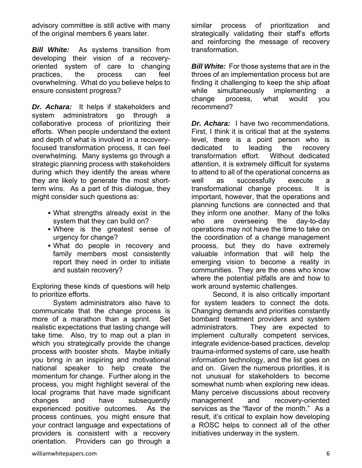advisory committee is still active with many of the original members 6 years later.

*Bill White:*As systems transition from developing their vision of a recoveryoriented system of care to changing practices, the process can feel overwhelming. What do you believe helps to ensure consistent progress?

*Dr. Achara:* It helps if stakeholders and system administrators go through collaborative process of prioritizing their efforts. When people understand the extent and depth of what is involved in a recoveryfocused transformation process, it can feel overwhelming. Many systems go through a strategic planning process with stakeholders during which they identify the areas where they are likely to generate the most shortterm wins. As a part of this dialogue, they might consider such questions as:

- What strengths already exist in the system that they can build on?
- Where is the greatest sense of urgency for change?
- What do people in recovery and family members most consistently report they need in order to initiate and sustain recovery?

Exploring these kinds of questions will help to prioritize efforts.

 System administrators also have to communicate that the change process is more of a marathon than a sprint. Set realistic expectations that lasting change will take time. Also, try to map out a plan in which you strategically provide the change process with booster shots. Maybe initially you bring in an inspiring and motivational national speaker to help create the momentum for change. Further along in the process, you might highlight several of the local programs that have made significant changes and have subsequently experienced positive outcomes. As the process continues, you might ensure that your contract language and expectations of providers is consistent with a recovery orientation. Providers can go through a *Bill White:* For those systems that are in the throes of an implementation process but are finding it challenging to keep the ship afloat while simultaneously implementing a change process, what would you recommend?

*Dr. Achara:* I have two recommendations. First, I think it is critical that at the systems level, there is a point person who is dedicated to leading the recovery transformation effort. Without dedicated attention, it is extremely difficult for systems to attend to all of the operational concerns as well as successfully execute a transformational change process. It is important, however, that the operations and planning functions are connected and that they inform one another. Many of the folks who are overseeing the day-to-day operations may not have the time to take on the coordination of a change management process, but they do have extremely valuable information that will help the emerging vision to become a reality in communities. They are the ones who know where the potential pitfalls are and how to work around systemic challenges.

 Second, it is also critically important for system leaders to connect the dots. Changing demands and priorities constantly bombard treatment providers and system administrators. They are expected to implement culturally competent services, integrate evidence-based practices, develop trauma-informed systems of care, use health information technology, and the list goes on and on. Given the numerous priorities, it is not unusual for stakeholders to become somewhat numb when exploring new ideas. Many perceive discussions about recovery management and recovery-oriented services as the "flavor of the month." As a result, it's critical to explain how developing a ROSC helps to connect all of the other initiatives underway in the system.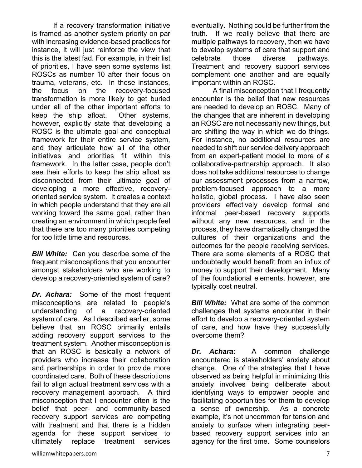If a recovery transformation initiative is framed as another system priority on par with increasing evidence-based practices for instance, it will just reinforce the view that this is the latest fad. For example, in their list of priorities, I have seen some systems list ROSCs as number 10 after their focus on trauma, veterans, etc. In these instances, the focus on the recovery-focused transformation is more likely to get buried under all of the other important efforts to keep the ship afloat. Other systems, however, explicitly state that developing a ROSC is the ultimate goal and conceptual framework for their entire service system, and they articulate how all of the other initiatives and priorities fit within this framework. In the latter case, people don't see their efforts to keep the ship afloat as disconnected from their ultimate goal of developing a more effective, recoveryoriented service system. It creates a context in which people understand that they are all working toward the same goal, rather than creating an environment in which people feel that there are too many priorities competing for too little time and resources.

**Bill White:** Can you describe some of the frequent misconceptions that you encounter amongst stakeholders who are working to develop a recovery-oriented system of care?

*Dr. Achara:* Some of the most frequent misconceptions are related to people's understanding of a recovery-oriented system of care. As I described earlier, some believe that an ROSC primarily entails adding recovery support services to the treatment system. Another misconception is that an ROSC is basically a network of providers who increase their collaboration and partnerships in order to provide more coordinated care. Both of these descriptions fail to align actual treatment services with a recovery management approach. A third misconception that I encounter often is the belief that peer- and community-based recovery support services are competing with treatment and that there is a hidden agenda for these support services to ultimately replace treatment services

eventually. Nothing could be further from the truth. If we really believe that there are multiple pathways to recovery, then we have to develop systems of care that support and celebrate those diverse pathways. Treatment and recovery support services complement one another and are equally important within an ROSC.

 A final misconception that I frequently encounter is the belief that new resources are needed to develop an ROSC. Many of the changes that are inherent in developing an ROSC are not necessarily new things, but are shifting the way in which we do things. For instance, no additional resources are needed to shift our service delivery approach from an expert-patient model to more of a collaborative-partnership approach. It also does not take additional resources to change our assessment processes from a narrow, problem-focused approach to a more holistic, global process. I have also seen providers effectively develop formal and informal peer-based recovery supports without any new resources, and in the process, they have dramatically changed the cultures of their organizations and the outcomes for the people receiving services. There are some elements of a ROSC that undoubtedly would benefit from an influx of money to support their development. Many of the foundational elements, however, are typically cost neutral.

*Bill White:* What are some of the common challenges that systems encounter in their effort to develop a recovery-oriented system of care, and how have they successfully overcome them?

*Dr. Achara:* A common challenge encountered is stakeholders' anxiety about change. One of the strategies that I have observed as being helpful in minimizing this anxiety involves being deliberate about identifying ways to empower people and facilitating opportunities for them to develop a sense of ownership. As a concrete example, it's not uncommon for tension and anxiety to surface when integrating peerbased recovery support services into an agency for the first time. Some counselors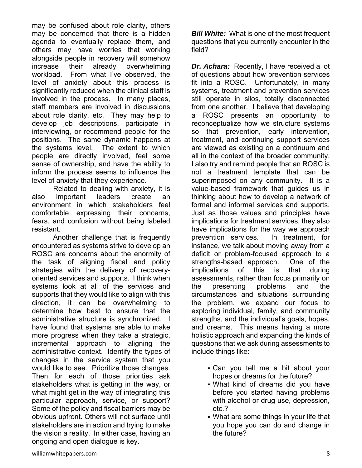may be confused about role clarity, others may be concerned that there is a hidden agenda to eventually replace them, and others may have worries that working alongside people in recovery will somehow increase their already overwhelming workload. From what I've observed, the level of anxiety about this process is significantly reduced when the clinical staff is involved in the process. In many places, staff members are involved in discussions about role clarity, etc. They may help to develop job descriptions, participate in interviewing, or recommend people for the positions. The same dynamic happens at the systems level. The extent to which people are directly involved, feel some sense of ownership, and have the ability to inform the process seems to influence the level of anxiety that they experience.

 Related to dealing with anxiety, it is also important leaders create an environment in which stakeholders feel comfortable expressing their concerns, fears, and confusion without being labeled resistant.

 Another challenge that is frequently encountered as systems strive to develop an ROSC are concerns about the enormity of the task of aligning fiscal and policy strategies with the delivery of recoveryoriented services and supports. I think when systems look at all of the services and supports that they would like to align with this direction, it can be overwhelming to determine how best to ensure that the administrative structure is synchronized. I have found that systems are able to make more progress when they take a strategic, incremental approach to aligning the administrative context. Identify the types of changes in the service system that you would like to see. Prioritize those changes. Then for each of those priorities ask stakeholders what is getting in the way, or what might get in the way of integrating this particular approach, service, or support? Some of the policy and fiscal barriers may be obvious upfront. Others will not surface until stakeholders are in action and trying to make the vision a reality. In either case, having an ongoing and open dialogue is key.

*Bill White:* What is one of the most frequent questions that you currently encounter in the field?

*Dr. Achara:* Recently, I have received a lot of questions about how prevention services fit into a ROSC. Unfortunately, in many systems, treatment and prevention services still operate in silos, totally disconnected from one another. I believe that developing a ROSC presents an opportunity to reconceptualize how we structure systems so that prevention, early intervention, treatment, and continuing support services are viewed as existing on a continuum and all in the context of the broader community. I also try and remind people that an ROSC is not a treatment template that can be superimposed on any community. It is a value-based framework that guides us in thinking about how to develop a network of formal and informal services and supports. Just as those values and principles have implications for treatment services, they also have implications for the way we approach prevention services. In treatment, for instance, we talk about moving away from a deficit or problem-focused approach to a strengths-based approach. One of the implications of this is that during assessments, rather than focus primarily on the presenting problems and the circumstances and situations surrounding the problem, we expand our focus to exploring individual, family, and community strengths, and the individual's goals, hopes, and dreams. This means having a more holistic approach and expanding the kinds of questions that we ask during assessments to include things like:

- Can you tell me a bit about your hopes or dreams for the future?
- What kind of dreams did you have before you started having problems with alcohol or drug use, depression, etc.?
- What are some things in your life that you hope you can do and change in the future?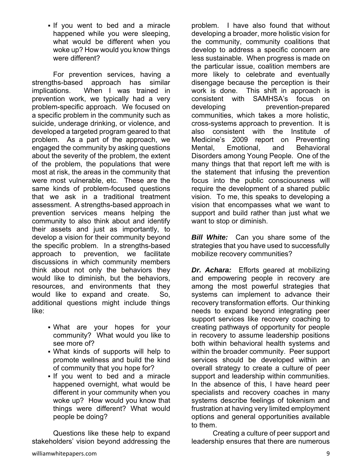If you went to bed and a miracle happened while you were sleeping, what would be different when you woke up? How would you know things were different?

 For prevention services, having a strengths-based approach has similar implications. When I was trained in prevention work, we typically had a very problem-specific approach. We focused on a specific problem in the community such as suicide, underage drinking, or violence, and developed a targeted program geared to that problem. As a part of the approach, we engaged the community by asking questions about the severity of the problem, the extent of the problem, the populations that were most at risk, the areas in the community that were most vulnerable, etc. These are the same kinds of problem-focused questions that we ask in a traditional treatment assessment. A strengths-based approach in prevention services means helping the community to also think about and identify their assets and just as importantly, to develop a vision for their community beyond the specific problem. In a strengths-based approach to prevention, we facilitate discussions in which community members think about not only the behaviors they would like to diminish, but the behaviors, resources, and environments that they would like to expand and create. So, additional questions might include things like:

- What are your hopes for your community? What would you like to see more of?
- What kinds of supports will help to promote wellness and build the kind of community that you hope for?
- . If you went to bed and a miracle happened overnight, what would be different in your community when you woke up? How would you know that things were different? What would people be doing?

 Questions like these help to expand stakeholders' vision beyond addressing the

problem. I have also found that without developing a broader, more holistic vision for the community, community coalitions that develop to address a specific concern are less sustainable. When progress is made on the particular issue, coalition members are more likely to celebrate and eventually disengage because the perception is their work is done. This shift in approach is consistent with SAMHSA's focus on developing prevention-prepared communities, which takes a more holistic, cross-systems approach to prevention. It is also consistent with the Institute of Medicine's 2009 report on Preventing Mental, Emotional, and Behavioral Disorders among Young People. One of the many things that that report left me with is the statement that infusing the prevention focus into the public consciousness will require the development of a shared public vision. To me, this speaks to developing a vision that encompasses what we want to support and build rather than just what we want to stop or diminish.

**Bill White:** Can you share some of the strategies that you have used to successfully mobilize recovery communities?

*Dr. Achara:* Efforts geared at mobilizing and empowering people in recovery are among the most powerful strategies that systems can implement to advance their recovery transformation efforts. Our thinking needs to expand beyond integrating peer support services like recovery coaching to creating pathways of opportunity for people in recovery to assume leadership positions both within behavioral health systems and within the broader community. Peer support services should be developed within an overall strategy to create a culture of peer support and leadership within communities. In the absence of this, I have heard peer specialists and recovery coaches in many systems describe feelings of tokenism and frustration at having very limited employment options and general opportunities available to them.

 Creating a culture of peer support and leadership ensures that there are numerous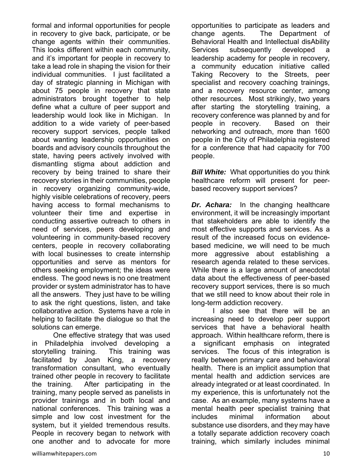formal and informal opportunities for people in recovery to give back, participate, or be change agents within their communities. This looks different within each community, and it's important for people in recovery to take a lead role in shaping the vision for their individual communities. I just facilitated a day of strategic planning in Michigan with about 75 people in recovery that state administrators brought together to help define what a culture of peer support and leadership would look like in Michigan. In addition to a wide variety of peer-based recovery support services, people talked about wanting leadership opportunities on boards and advisory councils throughout the state, having peers actively involved with dismantling stigma about addiction and recovery by being trained to share their recovery stories in their communities, people in recovery organizing community-wide, highly visible celebrations of recovery, peers having access to formal mechanisms to volunteer their time and expertise in conducting assertive outreach to others in need of services, peers developing and volunteering in community-based recovery centers, people in recovery collaborating with local businesses to create internship opportunities and serve as mentors for others seeking employment; the ideas were endless. The good news is no one treatment provider or system administrator has to have all the answers. They just have to be willing to ask the right questions, listen, and take collaborative action. Systems have a role in helping to facilitate the dialogue so that the solutions can emerge.

 One effective strategy that was used in Philadelphia involved developing a storytelling training. This training was facilitated by Joan King, a recovery transformation consultant, who eventually trained other people in recovery to facilitate the training. After participating in the training, many people served as panelists in provider trainings and in both local and national conferences. This training was a simple and low cost investment for the system, but it yielded tremendous results. People in recovery began to network with one another and to advocate for more

opportunities to participate as leaders and change agents. The Department of Behavioral Health and Intellectual disAbility Services subsequently developed a leadership academy for people in recovery, a community education initiative called Taking Recovery to the Streets, peer specialist and recovery coaching trainings, and a recovery resource center, among other resources. Most strikingly, two years after starting the storytelling training, a recovery conference was planned by and for people in recovery. Based on their networking and outreach, more than 1600 people in the City of Philadelphia registered for a conference that had capacity for 700 people.

*Bill White:*What opportunities do you think healthcare reform will present for peerbased recovery support services?

*Dr. Achara:* In the changing healthcare environment, it will be increasingly important that stakeholders are able to identify the most effective supports and services. As a result of the increased focus on evidencebased medicine, we will need to be much more aggressive about establishing a research agenda related to these services. While there is a large amount of anecdotal data about the effectiveness of peer-based recovery support services, there is so much that we still need to know about their role in long-term addiction recovery.

 I also see that there will be an increasing need to develop peer support services that have a behavioral health approach. Within healthcare reform, there is a significant emphasis on integrated services. The focus of this integration is really between primary care and behavioral health. There is an implicit assumption that mental health and addiction services are already integrated or at least coordinated. In my experience, this is unfortunately not the case. As an example, many systems have a mental health peer specialist training that includes minimal information about substance use disorders, and they may have a totally separate addiction recovery coach training, which similarly includes minimal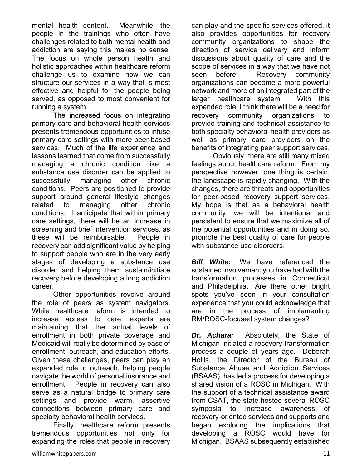mental health content. Meanwhile, the people in the trainings who often have challenges related to both mental health and addiction are saying this makes no sense. The focus on whole person health and holistic approaches within healthcare reform challenge us to examine how we can structure our services in a way that is most effective and helpful for the people being served, as opposed to most convenient for running a system.

 The increased focus on integrating primary care and behavioral health services presents tremendous opportunities to infuse primary care settings with more peer-based services. Much of the life experience and lessons learned that come from successfully managing a chronic condition like a substance use disorder can be applied to successfully managing other chronic conditions. Peers are positioned to provide support around general lifestyle changes related to managing other chronic conditions. I anticipate that within primary care settings, there will be an increase in screening and brief intervention services, as these will be reimbursable. People in recovery can add significant value by helping to support people who are in the very early stages of developing a substance use disorder and helping them sustain/initiate recovery before developing a long addiction career.

 Other opportunities revolve around the role of peers as system navigators. While healthcare reform is intended to increase access to care, experts are maintaining that the actual levels of enrollment in both private coverage and Medicaid will really be determined by ease of enrollment, outreach, and education efforts. Given these challenges, peers can play an expanded role in outreach, helping people navigate the world of personal insurance and enrollment. People in recovery can also serve as a natural bridge to primary care settings and provide warm, assertive connections between primary care and specialty behavioral health services.

 Finally, healthcare reform presents tremendous opportunities not only for expanding the roles that people in recovery can play and the specific services offered, it also provides opportunities for recovery community organizations to shape the direction of service delivery and inform discussions about quality of care and the scope of services in a way that we have not seen before. Recovery community organizations can become a more powerful network and more of an integrated part of the larger healthcare system. With this expanded role, I think there will be a need for recovery community organizations to provide training and technical assistance to both specialty behavioral health providers as well as primary care providers on the benefits of integrating peer support services.

 Obviously, there are still many mixed feelings about healthcare reform. From my perspective however, one thing is certain, the landscape is rapidly changing. With the changes, there are threats and opportunities for peer-based recovery support services. My hope is that as a behavioral health community, we will be intentional and persistent to ensure that we maximize all of the potential opportunities and in doing so, promote the best quality of care for people with substance use disorders.

*Bill White:* We have referenced the sustained involvement you have had with the transformation processes in Connecticut and Philadelphia. Are there other bright spots you've seen in your consultation experience that you could acknowledge that are in the process of implementing RM/ROSC-focused system changes?

*Dr. Achara:* Absolutely, the State of Michigan initiated a recovery transformation process a couple of years ago. Deborah Hollis, the Director of the Bureau of Substance Abuse and Addiction Services (BSAAS), has led a process for developing a shared vision of a ROSC in Michigan. With the support of a technical assistance award from CSAT, the state hosted several ROSC symposia to increase awareness of recovery-oriented services and supports and began exploring the implications that developing a ROSC would have for Michigan. BSAAS subsequently established